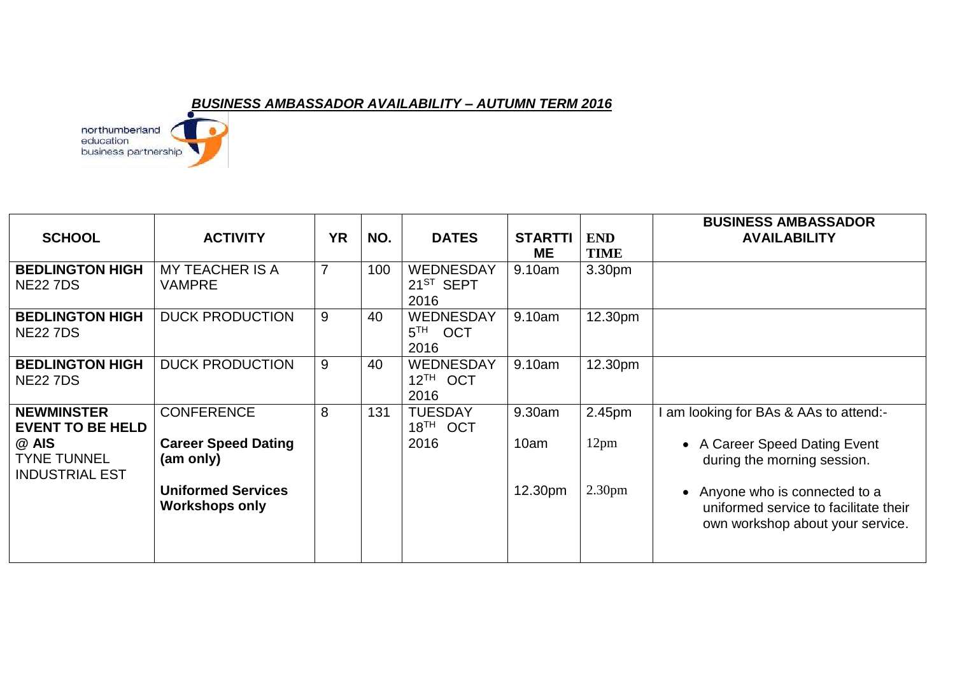## *BUSINESS AMBASSADOR AVAILABILITY – AUTUMN TERM 2016*

northumberland<br>education<br>business partnership ä

| <b>SCHOOL</b>                                        | <b>ACTIVITY</b>                                    | <b>YR</b>      | NO. | <b>DATES</b>                                      | <b>STARTTI</b><br><b>ME</b> | <b>END</b><br><b>TIME</b> | <b>BUSINESS AMBASSADOR</b><br><b>AVAILABILITY</b>                                                           |
|------------------------------------------------------|----------------------------------------------------|----------------|-----|---------------------------------------------------|-----------------------------|---------------------------|-------------------------------------------------------------------------------------------------------------|
| <b>BEDLINGTON HIGH</b><br><b>NE22 7DS</b>            | <b>MY TEACHER IS A</b><br><b>VAMPRE</b>            | $\overline{7}$ | 100 | <b>WEDNESDAY</b><br>21 <sup>ST</sup> SEPT<br>2016 | 9.10am                      | 3.30 <sub>pm</sub>        |                                                                                                             |
| <b>BEDLINGTON HIGH</b><br><b>NE227DS</b>             | <b>DUCK PRODUCTION</b>                             | 9              | 40  | <b>WEDNESDAY</b><br>5 <sup>TH</sup> OCT<br>2016   | 9.10am                      | 12.30pm                   |                                                                                                             |
| <b>BEDLINGTON HIGH</b><br><b>NE22 7DS</b>            | <b>DUCK PRODUCTION</b>                             | 9              | 40  | <b>WEDNESDAY</b><br>$12^{TH}$ OCT<br>2016         | 9.10am                      | 12.30pm                   |                                                                                                             |
| <b>NEWMINSTER</b><br><b>EVENT TO BE HELD</b>         | <b>CONFERENCE</b>                                  | 8              | 131 | <b>TUESDAY</b><br>$18TH$ OCT                      | 9.30am                      | 2.45pm                    | am looking for BAs & AAs to attend:-                                                                        |
| @ AIS<br><b>TYNE TUNNEL</b><br><b>INDUSTRIAL EST</b> | <b>Career Speed Dating</b><br>(am only)            |                |     | 2016                                              | 10am                        | 12 <sub>pm</sub>          | • A Career Speed Dating Event<br>during the morning session.                                                |
|                                                      | <b>Uniformed Services</b><br><b>Workshops only</b> |                |     |                                                   | 12.30pm                     | 2.30 <sub>pm</sub>        | • Anyone who is connected to a<br>uniformed service to facilitate their<br>own workshop about your service. |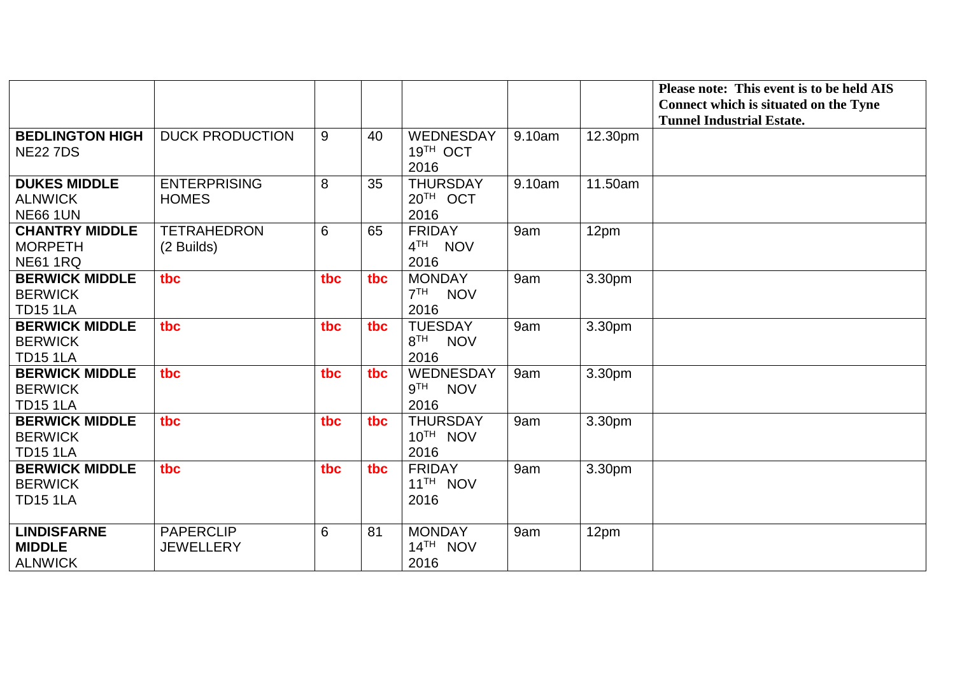|                                                            |                                      |     |     |                                                        |        |         | Please note: This event is to be held AIS                                 |
|------------------------------------------------------------|--------------------------------------|-----|-----|--------------------------------------------------------|--------|---------|---------------------------------------------------------------------------|
|                                                            |                                      |     |     |                                                        |        |         | Connect which is situated on the Tyne<br><b>Tunnel Industrial Estate.</b> |
| <b>BEDLINGTON HIGH</b><br><b>NE22 7DS</b>                  | <b>DUCK PRODUCTION</b>               | 9   | 40  | <b>WEDNESDAY</b><br>19TH OCT<br>2016                   | 9.10am | 12.30pm |                                                                           |
| <b>DUKES MIDDLE</b><br><b>ALNWICK</b><br><b>NE66 1UN</b>   | <b>ENTERPRISING</b><br><b>HOMES</b>  | 8   | 35  | <b>THURSDAY</b><br>20TH OCT<br>2016                    | 9.10am | 11.50am |                                                                           |
| <b>CHANTRY MIDDLE</b><br><b>MORPETH</b><br><b>NE61 1RQ</b> | <b>TETRAHEDRON</b><br>(2 Builds)     | 6   | 65  | <b>FRIDAY</b><br>4 <sup>TH</sup><br><b>NOV</b><br>2016 | 9am    | 12pm    |                                                                           |
| <b>BERWICK MIDDLE</b><br><b>BERWICK</b><br><b>TD15 1LA</b> | tbc                                  | tbc | tbc | <b>MONDAY</b><br>7 <sup>TH</sup><br><b>NOV</b><br>2016 | 9am    | 3.30pm  |                                                                           |
| <b>BERWICK MIDDLE</b><br><b>BERWICK</b><br><b>TD15 1LA</b> | tbc                                  | tbc | tbc | <b>TUESDAY</b><br>8 <sup>TH</sup> NOV<br>2016          | 9am    | 3.30pm  |                                                                           |
| <b>BERWICK MIDDLE</b><br><b>BERWICK</b><br><b>TD15 1LA</b> | tbc                                  | tbc | tbc | WEDNESDAY<br>9™<br><b>NOV</b><br>2016                  | 9am    | 3.30pm  |                                                                           |
| <b>BERWICK MIDDLE</b><br><b>BERWICK</b><br><b>TD15 1LA</b> | tbc                                  | tbc | tbc | <b>THURSDAY</b><br>10TH NOV<br>2016                    | 9am    | 3.30pm  |                                                                           |
| <b>BERWICK MIDDLE</b><br><b>BERWICK</b><br><b>TD15 1LA</b> | tbc                                  | tbc | tbc | <b>FRIDAY</b><br>11 <sup>TH</sup> NOV<br>2016          | 9am    | 3.30pm  |                                                                           |
| <b>LINDISFARNE</b><br><b>MIDDLE</b><br><b>ALNWICK</b>      | <b>PAPERCLIP</b><br><b>JEWELLERY</b> | 6   | 81  | <b>MONDAY</b><br>$14TH$ NOV<br>2016                    | 9am    | 12pm    |                                                                           |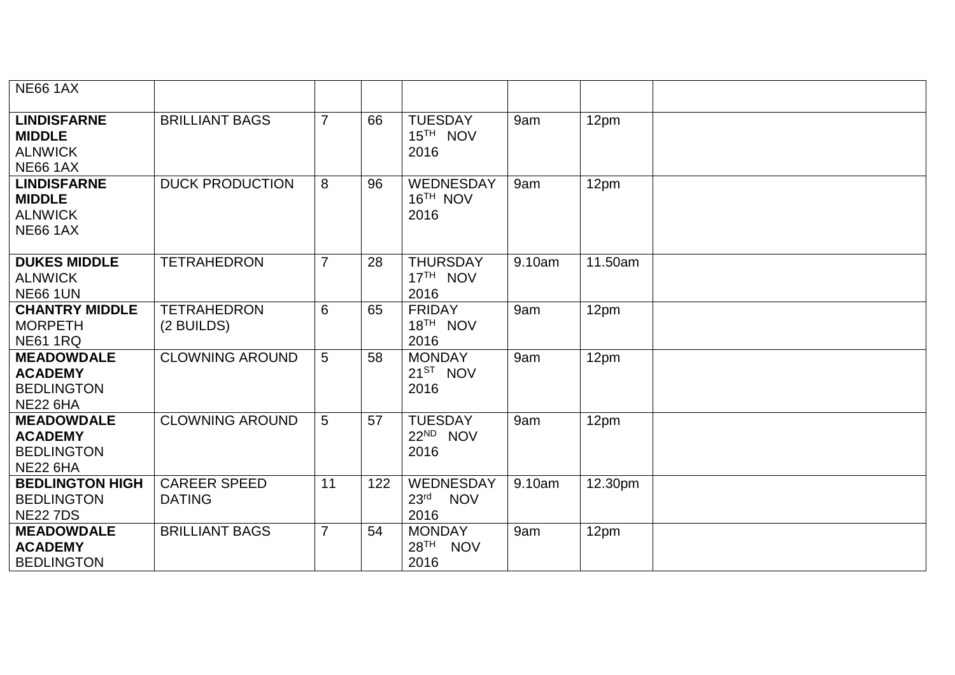| <b>NE66 1AX</b>                                                             |                                      |                |     |                                                            |        |         |
|-----------------------------------------------------------------------------|--------------------------------------|----------------|-----|------------------------------------------------------------|--------|---------|
| <b>LINDISFARNE</b><br><b>MIDDLE</b><br><b>ALNWICK</b><br><b>NE66 1AX</b>    | <b>BRILLIANT BAGS</b>                | $\overline{7}$ | 66  | <b>TUESDAY</b><br>15 <sup>TH</sup> NOV<br>2016             | 9am    | 12pm    |
| <b>LINDISFARNE</b><br><b>MIDDLE</b><br><b>ALNWICK</b><br><b>NE66 1AX</b>    | <b>DUCK PRODUCTION</b>               | 8              | 96  | WEDNESDAY<br>16 <sup>TH</sup> NOV<br>2016                  | 9am    | 12pm    |
| <b>DUKES MIDDLE</b><br><b>ALNWICK</b><br><b>NE66 1UN</b>                    | <b>TETRAHEDRON</b>                   | $\overline{7}$ | 28  | <b>THURSDAY</b><br>17 <sup>TH</sup> NOV<br>2016            | 9.10am | 11.50am |
| <b>CHANTRY MIDDLE</b><br><b>MORPETH</b><br><b>NE61 1RQ</b>                  | <b>TETRAHEDRON</b><br>(2 BUILDS)     | 6              | 65  | <b>FRIDAY</b><br>18 <sup>TH</sup> NOV<br>2016              | 9am    | 12pm    |
| <b>MEADOWDALE</b><br><b>ACADEMY</b><br><b>BEDLINGTON</b><br><b>NE22 6HA</b> | <b>CLOWNING AROUND</b>               | 5              | 58  | <b>MONDAY</b><br>21 <sup>ST</sup> NOV<br>2016              | 9am    | 12pm    |
| <b>MEADOWDALE</b><br><b>ACADEMY</b><br><b>BEDLINGTON</b><br><b>NE22 6HA</b> | <b>CLOWNING AROUND</b>               | 5              | 57  | <b>TUESDAY</b><br>22 <sup>ND</sup> NOV<br>2016             | 9am    | 12pm    |
| <b>BEDLINGTON HIGH</b><br><b>BEDLINGTON</b><br><b>NE22 7DS</b>              | <b>CAREER SPEED</b><br><b>DATING</b> | 11             | 122 | <b>WEDNESDAY</b><br>23 <sup>rd</sup><br><b>NOV</b><br>2016 | 9.10am | 12.30pm |
| <b>MEADOWDALE</b><br><b>ACADEMY</b><br><b>BEDLINGTON</b>                    | <b>BRILLIANT BAGS</b>                | $\overline{7}$ | 54  | <b>MONDAY</b><br>28 <sup>TH</sup> NOV<br>2016              | 9am    | 12pm    |